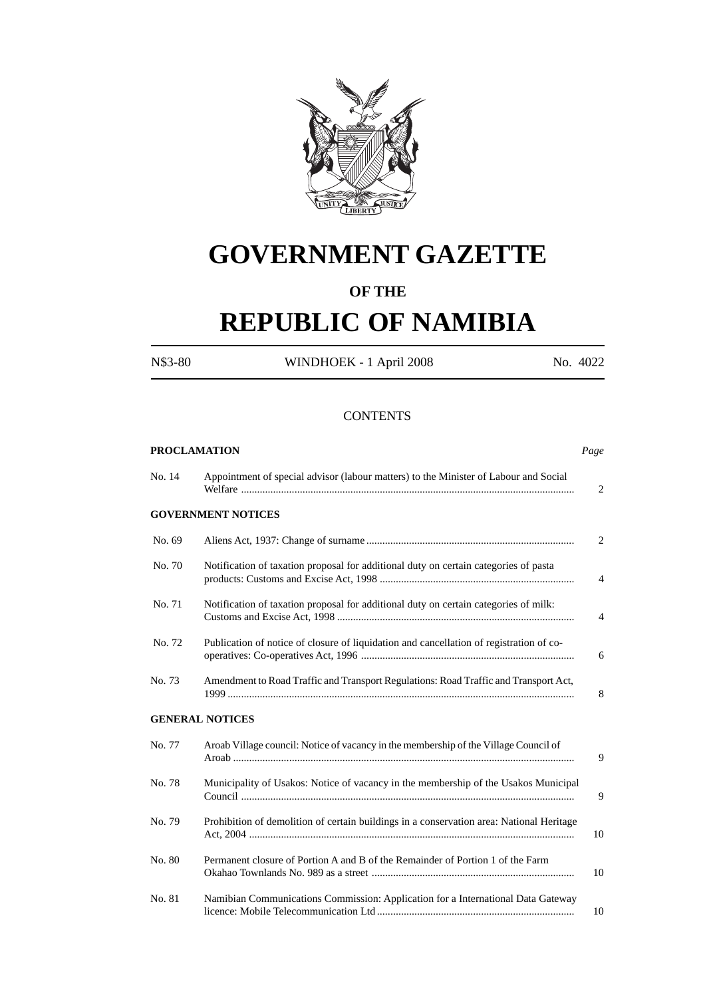

# **GOVERNMENT GAZETTE**

# **OF THE**

# **REPUBLIC OF NAMIBIA**

N\$3-80 WINDHOEK - 1 April 2008 No. 4022

#### **CONTENTS**

|        | <b>PROCLAMATION</b>                                                                      | Page         |
|--------|------------------------------------------------------------------------------------------|--------------|
| No. 14 | Appointment of special advisor (labour matters) to the Minister of Labour and Social     | $\mathbf{2}$ |
|        | <b>GOVERNMENT NOTICES</b>                                                                |              |
| No. 69 |                                                                                          | 2            |
| No. 70 | Notification of taxation proposal for additional duty on certain categories of pasta     | 4            |
| No. 71 | Notification of taxation proposal for additional duty on certain categories of milk:     | 4            |
| No. 72 | Publication of notice of closure of liquidation and cancellation of registration of co-  | 6            |
| No. 73 | Amendment to Road Traffic and Transport Regulations: Road Traffic and Transport Act,     | 8            |
|        | <b>GENERAL NOTICES</b>                                                                   |              |
| No. 77 | Aroab Village council: Notice of vacancy in the membership of the Village Council of     | 9            |
| No. 78 | Municipality of Usakos: Notice of vacancy in the membership of the Usakos Municipal      | 9            |
| No. 79 | Prohibition of demolition of certain buildings in a conservation area: National Heritage | 10           |
| No. 80 | Permanent closure of Portion A and B of the Remainder of Portion 1 of the Farm           | 10           |
| No. 81 | Namibian Communications Commission: Application for a International Data Gateway         | 10           |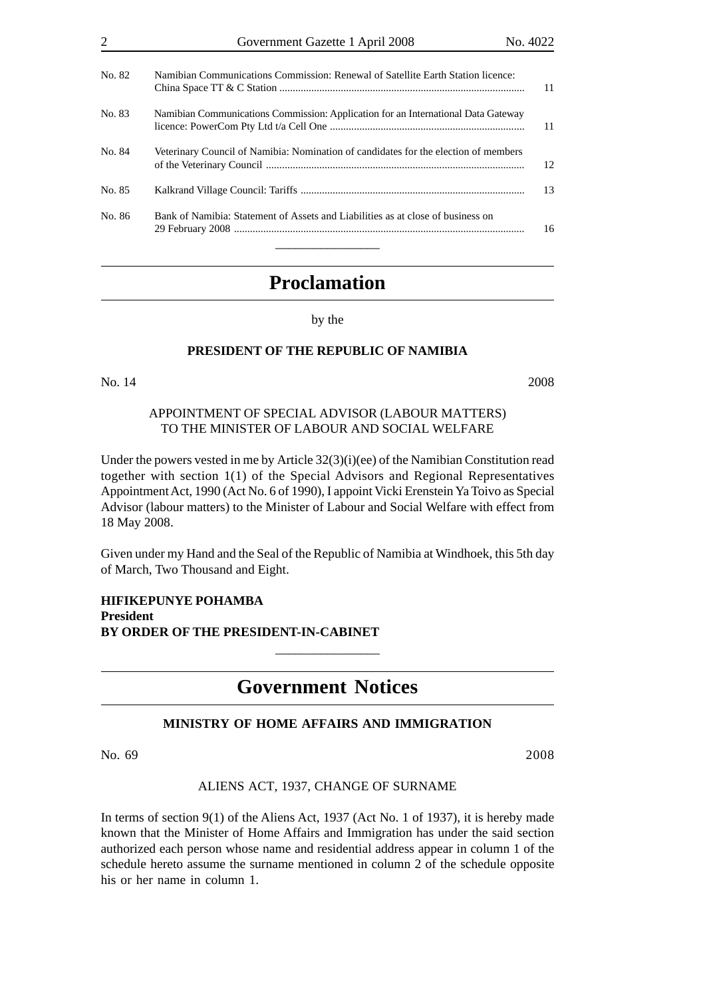|        | Government Gazette 1 April 2008                                                     | No. 4022 |
|--------|-------------------------------------------------------------------------------------|----------|
| No. 82 | Namibian Communications Commission: Renewal of Satellite Earth Station licence:     | 11       |
| No. 83 | Namibian Communications Commission: Application for an International Data Gateway   | 11       |
| No. 84 | Veterinary Council of Namibia: Nomination of candidates for the election of members | 12       |
| No. 85 |                                                                                     | 13       |
| No. 86 | Bank of Namibia: Statement of Assets and Liabilities as at close of business on     | 16       |

# **Proclamation**

by the

### **PRESIDENT OF THE REPUBLIC OF NAMIBIA**

#### No. 14 2008

## APPOINTMENT OF SPECIAL ADVISOR (LABOUR MATTERS) TO THE MINISTER OF LABOUR AND SOCIAL WELFARE

Under the powers vested in me by Article 32(3)(i)(ee) of the Namibian Constitution read together with section 1(1) of the Special Advisors and Regional Representatives Appointment Act, 1990 (Act No. 6 of 1990), I appoint Vicki Erenstein Ya Toivo as Special Advisor (labour matters) to the Minister of Labour and Social Welfare with effect from 18 May 2008.

Given under my Hand and the Seal of the Republic of Namibia at Windhoek, this 5th day of March, Two Thousand and Eight.

**HIFIKEPUNYE POHAMBA President BY ORDER OF THE PRESIDENT-IN-CABINET**

# **Government Notices**

\_\_\_\_\_\_\_\_\_\_\_\_\_\_\_\_

# **MINISTRY OF HOME AFFAIRS AND IMMIGRATION**

No. 69 2008

ALIENS ACT, 1937, CHANGE OF SURNAME

In terms of section 9(1) of the Aliens Act, 1937 (Act No. 1 of 1937), it is hereby made known that the Minister of Home Affairs and Immigration has under the said section authorized each person whose name and residential address appear in column 1 of the schedule hereto assume the surname mentioned in column 2 of the schedule opposite his or her name in column 1.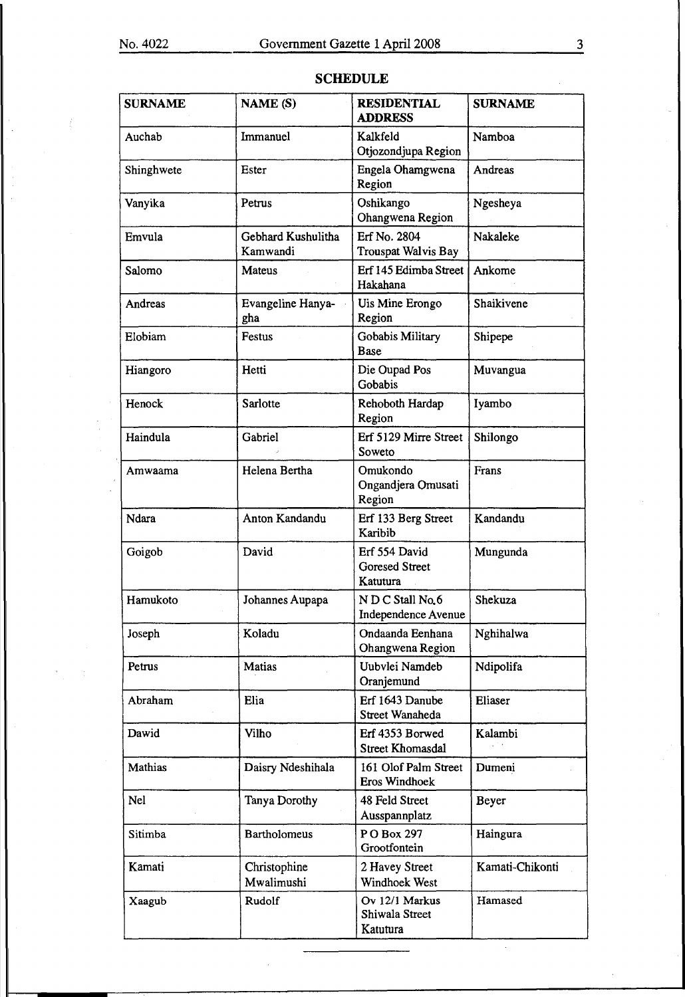| <b>SURNAME</b> | NAME (S)                       | <b>RESIDENTIAL</b><br><b>ADDRESS</b>               | <b>SURNAME</b>  |
|----------------|--------------------------------|----------------------------------------------------|-----------------|
| Auchab         | Immanuel                       | Kalkfeld<br>Otjozondjupa Region                    | Namboa          |
| Shinghwete     | Ester                          | Engela Ohamgwena<br>Region                         | Andreas         |
| Vanyika        | Petrus                         | Oshikango<br>Ohangwena Region                      | Ngesheya        |
| Emvula         | Gebhard Kushulitha<br>Kamwandi | Erf No. 2804<br>Trouspat Walvis Bay                | Nakaleke        |
| Salomo         | Mateus                         | Erf 145 Edimba Street<br>Hakahana                  | Ankome          |
| Andreas        | Evangeline Hanya-<br>gha       | Uis Mine Erongo<br>Region                          | Shaikivene      |
| Elobiam        | Festus                         | Gobabis Military<br><b>Base</b>                    | Shipepe         |
| Hiangoro       | Hetti                          | Die Oupad Pos<br>Gobabis                           | Muvangua        |
| Henock         | Sarlotte                       | Rehoboth Hardap<br>Region                          | Iyambo          |
| Haindula       | Gabriel                        | Erf 5129 Mirre Street<br>Soweto                    | Shilongo        |
| Amwaama        | Helena Bertha                  | Omukondo<br>Ongandjera Omusati<br>Region           | Frans           |
| Ndara          | Anton Kandandu                 | Erf 133 Berg Street<br>Karibib                     | Kandandu        |
| Goigob         | David                          | Erf 554 David<br><b>Goresed Street</b><br>Katutura | Mungunda        |
| Hamukoto       | Johannes Aupapa                | N D C Stall No.6<br>Independence Avenue            | Shekuza         |
| Joseph         | Koladu                         | Ondaanda Eenhana<br>Ohangwena Region               | Nghihalwa       |
| Petrus         | <b>Matias</b>                  | Uubvlei Namdeb<br>Oranjemund                       | Ndipolifa       |
| Abraham        | Elia                           | Erf 1643 Danube<br>Street Wanaheda                 | Eliaser         |
| Dawid          | Vilho                          | Erf 4353 Borwed<br><b>Street Khomasdal</b>         | Kalambi         |
| <b>Mathias</b> | Daisry Ndeshihala              | 161 Olof Palm Street<br><b>Eros Windhoek</b>       | Dumeni          |
| Nel            | Tanya Dorothy                  | 48 Feld Street<br>Ausspannplatz                    | Beyer           |
| Sitimba        | <b>Bartholomeus</b>            | PO Box 297<br>Grootfontein                         | Haingura        |
| Kamati         | Christophine<br>Mwalimushi     | 2 Havey Street<br>Windhoek West                    | Kamati-Chikonti |
| Xaagub         | Rudolf                         | Ov 12/1 Markus<br>Shiwala Street<br>Katutura       | Hamased         |

# SCHEDULE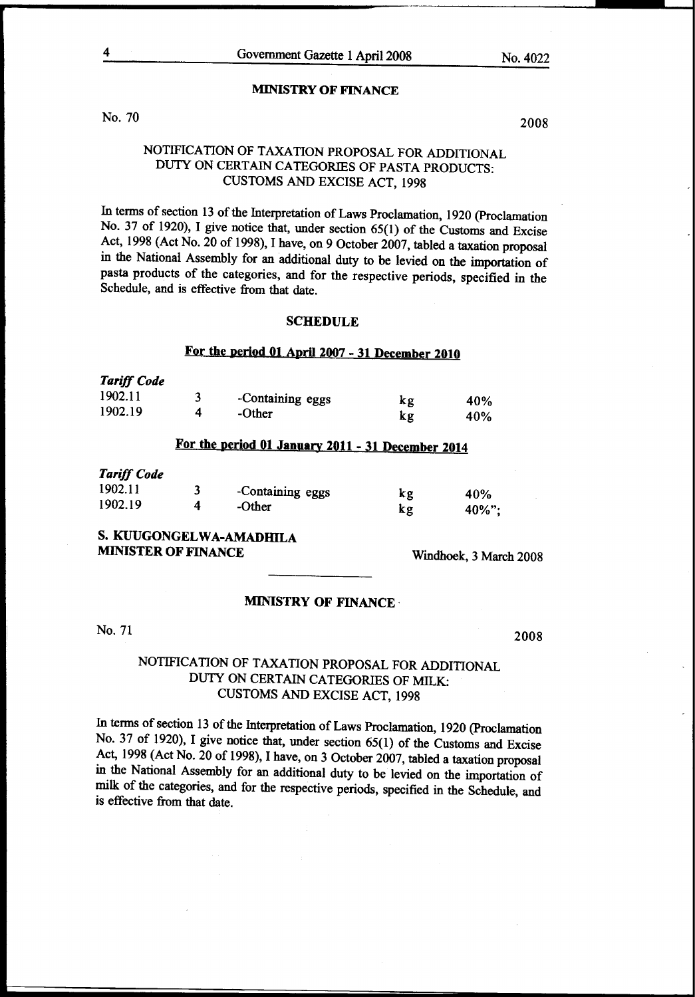#### MINISTRY OF FINANCE

No. 70

2008

### NOTIFICATION OF TAXATION PROPOSAL FOR ADDITIONAL DUTY ON CERTAIN CATEGORIES OF PASTA PRODUCTS: CUSTOMS AND EXCISE ACT, 1998

In terms of section 13 of the Interpretation of Laws Proclamation, 1920 (Proclamation No. 37 of 1920), I give notice that, under section 65(1) of the Customs and Excise Act, 1998 (Act No. 20 of 1998), I have, on 9 October 2007, tabled a taxation proposal in the National Assembly for an additional duty to be levied on the importation of pasta products of the categories, and for the respective periods, specified in the Schedule, and is effective from that date.

#### SCHEDULE

# For the period 01 April 2007 - 31 December 2010

| turyj Coue |                  |    |     |
|------------|------------------|----|-----|
| 1902.11    | -Containing eggs | κg | 40% |
| 1902.19    | -Other           | kg | 40% |

# For the period 01 January 2011- 31 December 2014

#### *Tariff Code*

*Tariff Code* 

|        |                  | 40%       |
|--------|------------------|-----------|
| -Other | kg               | $40\%$ "; |
|        | -Containing eggs | kg        |

# S. KUUGONGELWA-AMADHILA MINISTER OF FINANCE Windhoek, 3 March 2008

#### MINISTRY OF FINANCE·

No. 71

2008

# NOTIFICATION OF TAXATION PROPOSAL FOR ADDITIONAL DUTY ON CERTAIN CATEGORIES OF MILK: CUSTOMS AND EXCISE ACT, 1998

In terms of section 13 of the Interpretation of Laws Proclamation, 1920 (Proclamation No. 37 of 1920), I give notice that, under section 65(1) of the Customs and Excise Act, 1998 (Act No. 20 of 1998), I have, on 3 October 2007, tabled a taxation proposal in the National Assembly for an additional duty to be levied on the importation of milk of the categories, and for the respective periods, specified in the Schedule, and is effective from that date.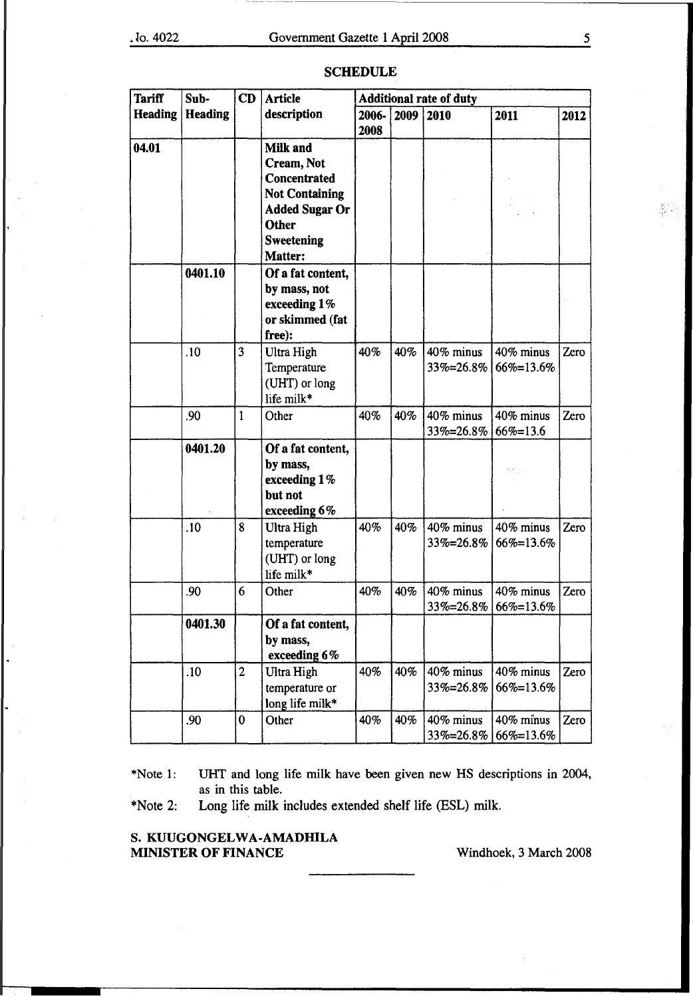| <b>Tariff</b>  | Sub-           |              | CD<br><b>Article</b>                           |       | <b>Additional rate of duty</b> |           |               |      |  |
|----------------|----------------|--------------|------------------------------------------------|-------|--------------------------------|-----------|---------------|------|--|
| <b>Heading</b> | <b>Heading</b> |              | description                                    | 2006- | 2009                           | 2010      | 2011          | 2012 |  |
|                |                |              |                                                | 2008  |                                |           |               |      |  |
| 04.01          |                |              | <b>Milk and</b>                                |       |                                |           |               |      |  |
|                |                |              | Cream, Not                                     |       |                                |           |               |      |  |
|                |                |              | Concentrated                                   |       |                                |           |               |      |  |
|                |                |              | <b>Not Containing</b><br><b>Added Sugar Or</b> |       |                                |           |               |      |  |
|                |                |              | <b>Other</b>                                   |       |                                |           |               |      |  |
|                |                |              | <b>Sweetening</b>                              |       |                                |           |               |      |  |
|                |                |              | Matter:                                        |       |                                |           |               |      |  |
|                | 0401.10        |              | Of a fat content,                              |       |                                |           |               |      |  |
|                |                |              | by mass, not                                   |       |                                |           |               |      |  |
|                |                |              | exceeding 1%                                   |       |                                |           |               |      |  |
|                |                |              | or skimmed (fat                                |       |                                |           |               |      |  |
|                |                |              | free):                                         |       |                                |           |               |      |  |
|                | .10            | 3            | Ultra High                                     | 40%   | 40%                            | 40% minus | 40% minus     | Zero |  |
|                |                |              | Temperature                                    |       |                                | 33%=26.8% | 66%=13.6%     |      |  |
|                |                |              | (UHT) or long                                  |       |                                |           |               |      |  |
|                |                |              | life milk*                                     |       |                                |           |               |      |  |
|                | .90            | $\mathbf{1}$ | Other                                          | 40%   | 40%                            | 40% minus | 40% minus     | Zero |  |
|                |                |              |                                                |       |                                | 33%=26.8% | $66\% = 13.6$ |      |  |
|                | 0401.20        |              | Of a fat content,                              |       |                                |           |               |      |  |
|                |                |              | by mass,                                       |       |                                |           |               |      |  |
|                |                |              | exceeding 1%<br>but not                        |       |                                |           |               |      |  |
|                |                |              | exceeding 6%                                   |       |                                |           |               |      |  |
|                | .10            | 8            | Ultra High                                     | 40%   | 40%                            | 40% minus | 40% minus     | Zero |  |
|                |                |              | temperature                                    |       |                                | 33%=26.8% | 66%=13.6%     |      |  |
|                |                |              | (UHT) or long                                  |       |                                |           |               |      |  |
|                |                |              | life milk*                                     |       |                                |           |               |      |  |
|                | .90            | 6            | Other                                          | 40%   | 40%                            | 40% minus | 40% minus     | Zero |  |
|                |                |              |                                                |       |                                | 33%=26.8% | 66%=13.6%     |      |  |
|                | 0401.30        |              | Of a fat content,                              |       |                                |           |               |      |  |
|                |                |              | by mass,                                       |       |                                |           |               |      |  |
|                |                |              | exceeding 6%                                   |       |                                |           |               |      |  |
|                | .10            | $\mathbf{2}$ | Ultra High                                     | 40%   | 40%                            | 40% minus | 40% minus     | Zero |  |
|                |                |              | temperature or                                 |       |                                | 33%=26.8% | 66%=13.6%     |      |  |
|                |                |              | long life milk*                                |       |                                |           |               |      |  |
|                | .90            | 0            | Other                                          | 40%   | 40%                            | 40% minus | 40% minus     | Zero |  |
|                |                |              |                                                |       |                                | 33%=26.8% | 66%=13.6%     |      |  |

#### SCHEDULE

\*Note 1: UHT and long life milk have been given new HS descriptions in 2004, as in this table.

\*Note 2: Long life milk includes extended shelf life (ESL) milk.

#### S. KUUGONGELWA-AMADHILA MINISTER OF FINANCE Windhoek, 3 March 2008

都市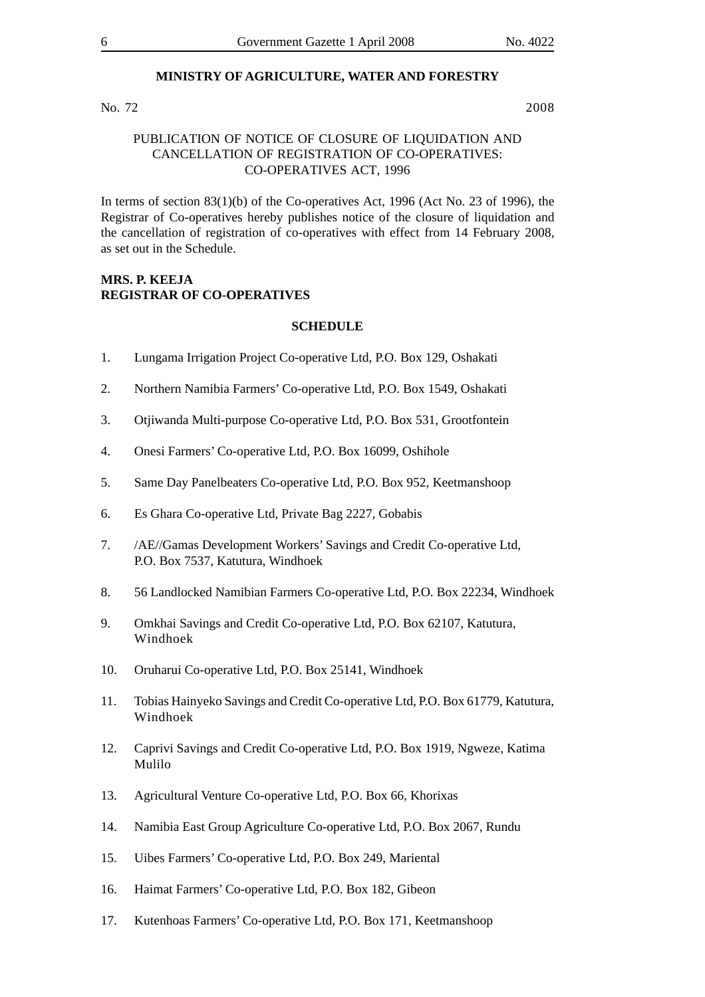#### **MINISTRY OF AGRICULTURE, WATER AND FORESTRY**

#### No. 72 2008

#### PUBLICATION OF NOTICE OF CLOSURE OF LIQUIDATION AND CANCELLATION OF REGISTRATION OF CO-OPERATIVES: CO-OPERATIVES ACT, 1996

In terms of section  $83(1)(b)$  of the Co-operatives Act, 1996 (Act No. 23 of 1996), the Registrar of Co-operatives hereby publishes notice of the closure of liquidation and the cancellation of registration of co-operatives with effect from 14 February 2008, as set out in the Schedule.

#### **MRS. P. KEEJA REGISTRAR OF CO-OPERATIVES**

#### **SCHEDULE**

- 1. Lungama Irrigation Project Co-operative Ltd, P.O. Box 129, Oshakati
- 2. Northern Namibia Farmers' Co-operative Ltd, P.O. Box 1549, Oshakati
- 3. Otjiwanda Multi-purpose Co-operative Ltd, P.O. Box 531, Grootfontein
- 4. Onesi Farmers' Co-operative Ltd, P.O. Box 16099, Oshihole
- 5. Same Day Panelbeaters Co-operative Ltd, P.O. Box 952, Keetmanshoop
- 6. Es Ghara Co-operative Ltd, Private Bag 2227, Gobabis
- 7. /AE//Gamas Development Workers' Savings and Credit Co-operative Ltd, P.O. Box 7537, Katutura, Windhoek
- 8. 56 Landlocked Namibian Farmers Co-operative Ltd, P.O. Box 22234, Windhoek
- 9. Omkhai Savings and Credit Co-operative Ltd, P.O. Box 62107, Katutura, Windhoek
- 10. Oruharui Co-operative Ltd, P.O. Box 25141, Windhoek
- 11. Tobias Hainyeko Savings and Credit Co-operative Ltd, P.O. Box 61779, Katutura, Windhoek
- 12. Caprivi Savings and Credit Co-operative Ltd, P.O. Box 1919, Ngweze, Katima Mulilo
- 13. Agricultural Venture Co-operative Ltd, P.O. Box 66, Khorixas
- 14. Namibia East Group Agriculture Co-operative Ltd, P.O. Box 2067, Rundu
- 15. Uibes Farmers' Co-operative Ltd, P.O. Box 249, Mariental
- 16. Haimat Farmers' Co-operative Ltd, P.O. Box 182, Gibeon
- 17. Kutenhoas Farmers' Co-operative Ltd, P.O. Box 171, Keetmanshoop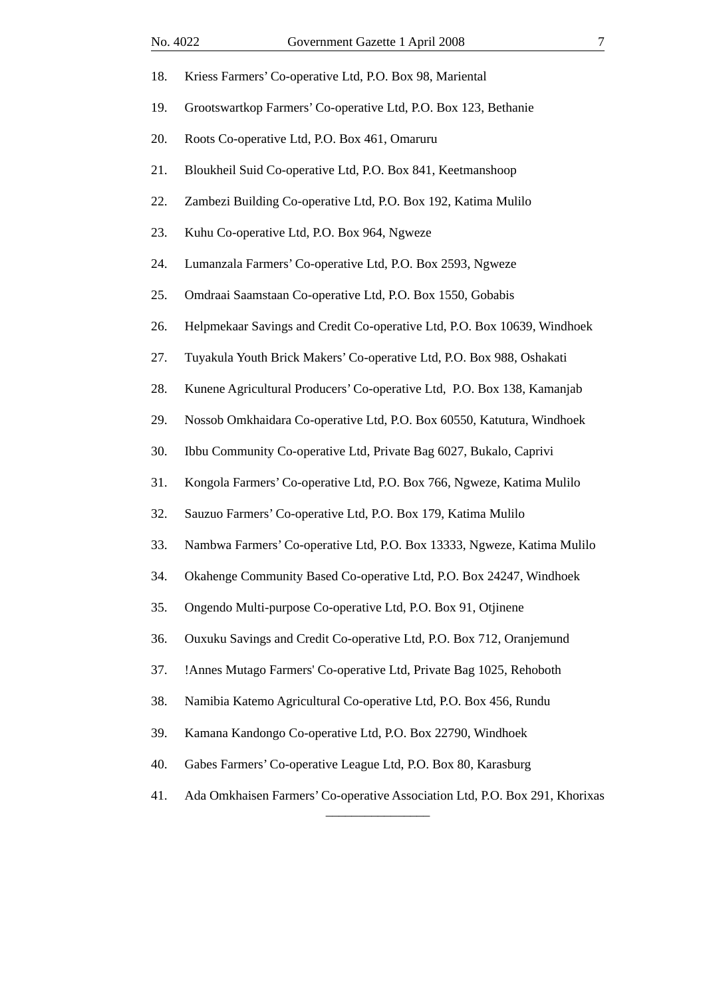| 18. | Kriess Farmers' Co-operative Ltd, P.O. Box 98, Mariental                    |
|-----|-----------------------------------------------------------------------------|
| 19. | Grootswartkop Farmers' Co-operative Ltd, P.O. Box 123, Bethanie             |
| 20. | Roots Co-operative Ltd, P.O. Box 461, Omaruru                               |
| 21. | Bloukheil Suid Co-operative Ltd, P.O. Box 841, Keetmanshoop                 |
| 22. | Zambezi Building Co-operative Ltd, P.O. Box 192, Katima Mulilo              |
| 23. | Kuhu Co-operative Ltd, P.O. Box 964, Ngweze                                 |
| 24. | Lumanzala Farmers' Co-operative Ltd, P.O. Box 2593, Ngweze                  |
| 25. | Omdraai Saamstaan Co-operative Ltd, P.O. Box 1550, Gobabis                  |
| 26. | Helpmekaar Savings and Credit Co-operative Ltd, P.O. Box 10639, Windhoek    |
| 27. | Tuyakula Youth Brick Makers' Co-operative Ltd, P.O. Box 988, Oshakati       |
| 28. | Kunene Agricultural Producers' Co-operative Ltd, P.O. Box 138, Kamanjab     |
| 29. | Nossob Omkhaidara Co-operative Ltd, P.O. Box 60550, Katutura, Windhoek      |
| 30. | Ibbu Community Co-operative Ltd, Private Bag 6027, Bukalo, Caprivi          |
| 31. | Kongola Farmers' Co-operative Ltd, P.O. Box 766, Ngweze, Katima Mulilo      |
| 32. | Sauzuo Farmers' Co-operative Ltd, P.O. Box 179, Katima Mulilo               |
| 33. | Nambwa Farmers' Co-operative Ltd, P.O. Box 13333, Ngweze, Katima Mulilo     |
| 34. | Okahenge Community Based Co-operative Ltd, P.O. Box 24247, Windhoek         |
| 35. | Ongendo Multi-purpose Co-operative Ltd, P.O. Box 91, Otjinene               |
| 36. | Ouxuku Savings and Credit Co-operative Ltd, P.O. Box 712, Oranjemund        |
| 37. | !Annes Mutago Farmers' Co-operative Ltd, Private Bag 1025, Rehoboth         |
| 38. | Namibia Katemo Agricultural Co-operative Ltd, P.O. Box 456, Rundu           |
| 39. | Kamana Kandongo Co-operative Ltd, P.O. Box 22790, Windhoek                  |
| 40. | Gabes Farmers' Co-operative League Ltd, P.O. Box 80, Karasburg              |
| 41. | Ada Omkhaisen Farmers' Co-operative Association Ltd, P.O. Box 291, Khorixas |

\_\_\_\_\_\_\_\_\_\_\_\_\_\_\_\_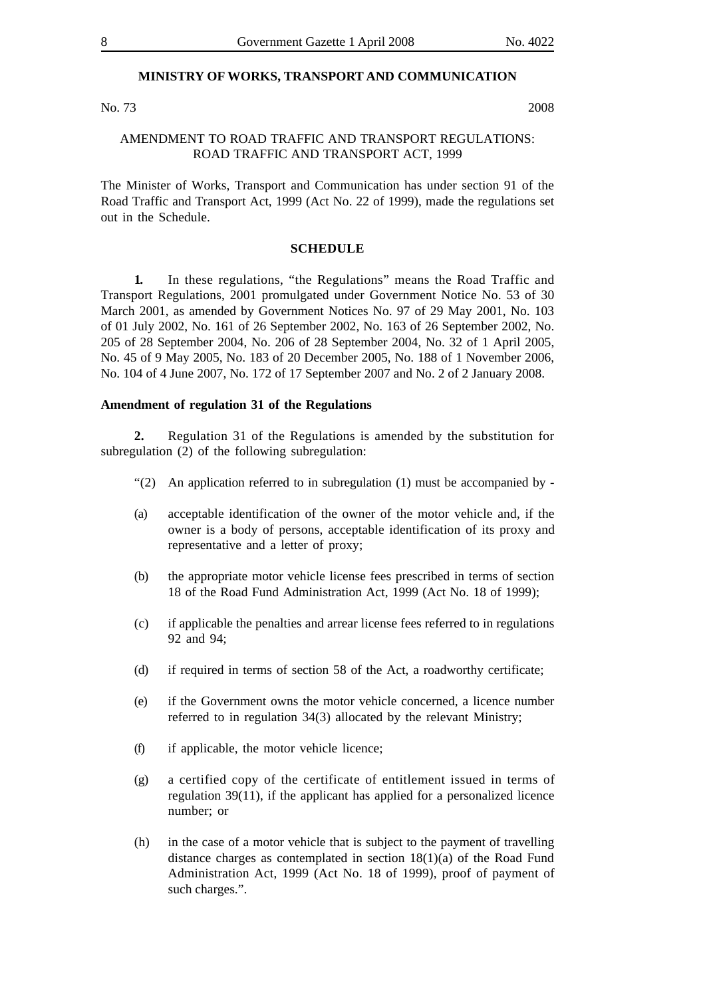#### **MINISTRY OF WORKS, TRANSPORT AND COMMUNICATION**

No. 73 2008

#### AMENDMENT TO ROAD TRAFFIC AND TRANSPORT REGULATIONS: ROAD TRAFFIC AND TRANSPORT ACT, 1999

The Minister of Works, Transport and Communication has under section 91 of the Road Traffic and Transport Act, 1999 (Act No. 22 of 1999), made the regulations set out in the Schedule.

#### **SCHEDULE**

**1.** In these regulations, "the Regulations" means the Road Traffic and Transport Regulations, 2001 promulgated under Government Notice No. 53 of 30 March 2001, as amended by Government Notices No. 97 of 29 May 2001, No. 103 of 01 July 2002, No. 161 of 26 September 2002, No. 163 of 26 September 2002, No. 205 of 28 September 2004, No. 206 of 28 September 2004, No. 32 of 1 April 2005, No. 45 of 9 May 2005, No. 183 of 20 December 2005, No. 188 of 1 November 2006, No. 104 of 4 June 2007, No. 172 of 17 September 2007 and No. 2 of 2 January 2008.

#### **Amendment of regulation 31 of the Regulations**

**2.** Regulation 31 of the Regulations is amended by the substitution for subregulation (2) of the following subregulation:

- "(2) An application referred to in subregulation (1) must be accompanied by -
- (a) acceptable identification of the owner of the motor vehicle and, if the owner is a body of persons, acceptable identification of its proxy and representative and a letter of proxy;
- (b) the appropriate motor vehicle license fees prescribed in terms of section 18 of the Road Fund Administration Act, 1999 (Act No. 18 of 1999);
- (c) if applicable the penalties and arrear license fees referred to in regulations 92 and 94;
- (d) if required in terms of section 58 of the Act, a roadworthy certificate;
- (e) if the Government owns the motor vehicle concerned, a licence number referred to in regulation 34(3) allocated by the relevant Ministry;
- (f) if applicable, the motor vehicle licence;
- (g) a certified copy of the certificate of entitlement issued in terms of regulation 39(11), if the applicant has applied for a personalized licence number; or
- (h) in the case of a motor vehicle that is subject to the payment of travelling distance charges as contemplated in section 18(1)(a) of the Road Fund Administration Act, 1999 (Act No. 18 of 1999), proof of payment of such charges.".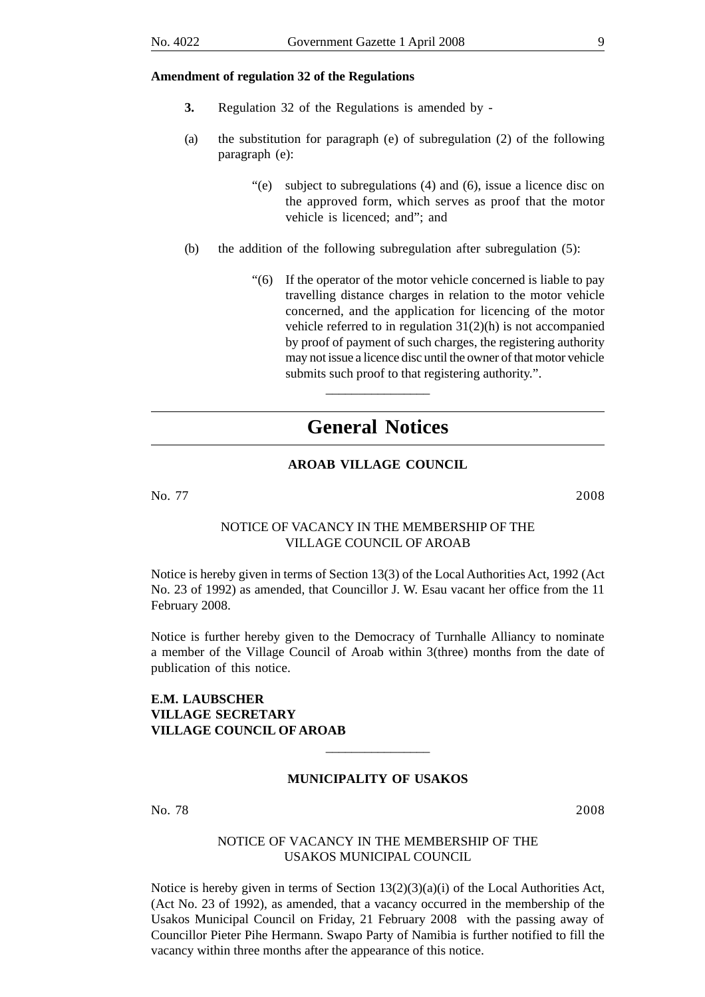#### **Amendment of regulation 32 of the Regulations**

- **3.** Regulation 32 of the Regulations is amended by -
- (a) the substitution for paragraph (e) of subregulation (2) of the following paragraph (e):
	- "(e) subject to subregulations (4) and (6), issue a licence disc on the approved form, which serves as proof that the motor vehicle is licenced; and"; and
- (b) the addition of the following subregulation after subregulation (5):
	- "(6) If the operator of the motor vehicle concerned is liable to pay travelling distance charges in relation to the motor vehicle concerned, and the application for licencing of the motor vehicle referred to in regulation 31(2)(h) is not accompanied by proof of payment of such charges, the registering authority may not issue a licence disc until the owner of that motor vehicle submits such proof to that registering authority.".

# **General Notices**

\_\_\_\_\_\_\_\_\_\_\_\_\_\_\_\_

#### **AROAB VILLAGE COUNCIL**

No. 77 2008

#### NOTICE OF VACANCY IN THE MEMBERSHIP OF THE VILLAGE COUNCIL OF AROAB

Notice is hereby given in terms of Section 13(3) of the Local Authorities Act, 1992 (Act No. 23 of 1992) as amended, that Councillor J. W. Esau vacant her office from the 11 February 2008.

Notice is further hereby given to the Democracy of Turnhalle Alliancy to nominate a member of the Village Council of Aroab within 3(three) months from the date of publication of this notice.

#### **E.M. LAUBSCHER VILLAGE SECRETARY VILLAGE COUNCIL OF AROAB**

#### **MUNICIPALITY OF USAKOS**

\_\_\_\_\_\_\_\_\_\_\_\_\_\_\_\_

No. 78 2008

#### NOTICE OF VACANCY IN THE MEMBERSHIP OF THE USAKOS MUNICIPAL COUNCIL

Notice is hereby given in terms of Section  $13(2)(3)(a)(i)$  of the Local Authorities Act, (Act No. 23 of 1992), as amended, that a vacancy occurred in the membership of the Usakos Municipal Council on Friday, 21 February 2008 with the passing away of Councillor Pieter Pihe Hermann. Swapo Party of Namibia is further notified to fill the vacancy within three months after the appearance of this notice.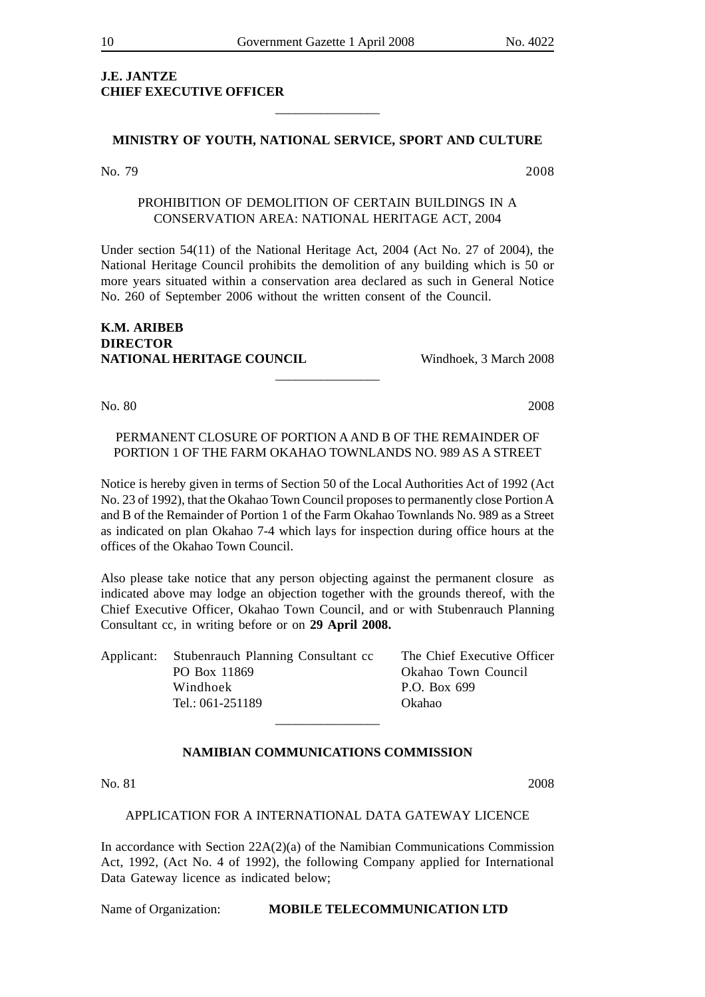# **J.E. JANTZE CHIEF EXECUTIVE OFFICER**

#### **MINISTRY OF YOUTH, NATIONAL SERVICE, SPORT AND CULTURE**

\_\_\_\_\_\_\_\_\_\_\_\_\_\_\_\_

No. 79 2008

#### PROHIBITION OF DEMOLITION OF CERTAIN BUILDINGS IN A CONSERVATION AREA: NATIONAL HERITAGE ACT, 2004

Under section 54(11) of the National Heritage Act, 2004 (Act No. 27 of 2004), the National Heritage Council prohibits the demolition of any building which is 50 or more years situated within a conservation area declared as such in General Notice No. 260 of September 2006 without the written consent of the Council.

#### **K.M. ARIBEB DIRECTOR NATIONAL HERITAGE COUNCIL** Windhoek, 3 March 2008

No. 80 2008

### PERMANENT CLOSURE OF PORTION A AND B OF THE REMAINDER OF PORTION 1 OF THE FARM OKAHAO TOWNLANDS NO. 989 AS A STREET

\_\_\_\_\_\_\_\_\_\_\_\_\_\_\_\_

Notice is hereby given in terms of Section 50 of the Local Authorities Act of 1992 (Act No. 23 of 1992), that the Okahao Town Council proposes to permanently close Portion A and B of the Remainder of Portion 1 of the Farm Okahao Townlands No. 989 as a Street as indicated on plan Okahao 7-4 which lays for inspection during office hours at the offices of the Okahao Town Council.

Also please take notice that any person objecting against the permanent closure as indicated above may lodge an objection together with the grounds thereof, with the Chief Executive Officer, Okahao Town Council, and or with Stubenrauch Planning Consultant cc, in writing before or on **29 April 2008.**

| Applicant: Stubenrauch Planning Consultant cc | The Chief Executive Officer |
|-----------------------------------------------|-----------------------------|
| PO Box 11869                                  | Okahao Town Council         |
| Windhoek                                      | P.O. Box 699                |
| Tel.: 061-251189                              | Okahao                      |
|                                               |                             |

#### **NAMIBIAN COMMUNICATIONS COMMISSION**

No. 81 2008

#### APPLICATION FOR A INTERNATIONAL DATA GATEWAY LICENCE

In accordance with Section  $22A(2)(a)$  of the Namibian Communications Commission Act, 1992, (Act No. 4 of 1992), the following Company applied for International Data Gateway licence as indicated below;

#### Name of Organization: **MOBILE TELECOMMUNICATION LTD**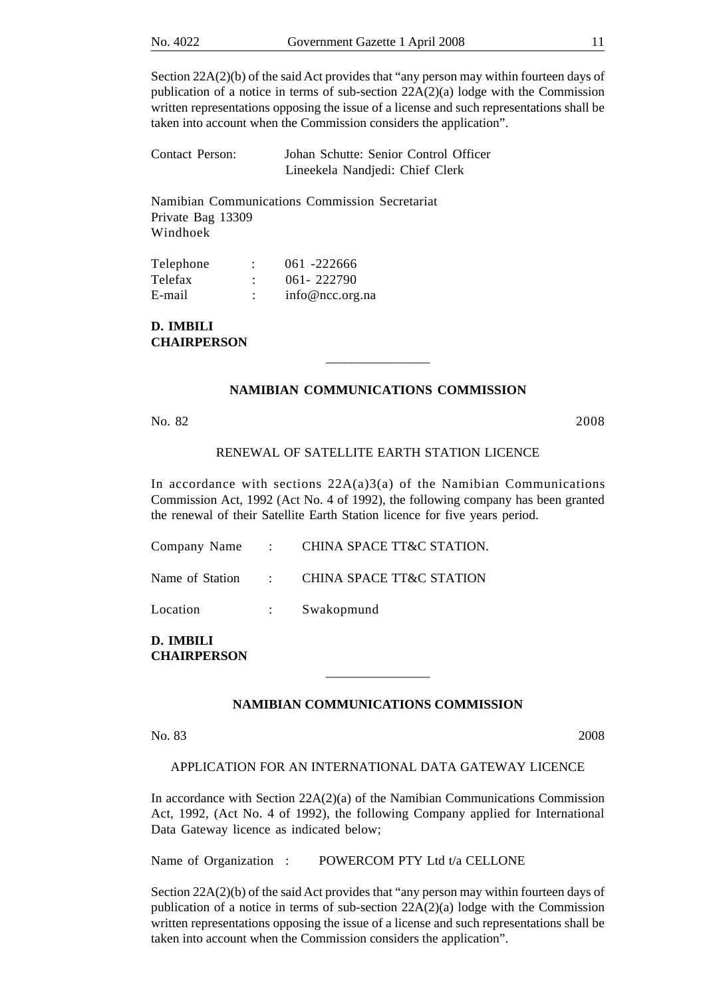Section 22A(2)(b) of the said Act provides that "any person may within fourteen days of publication of a notice in terms of sub-section 22A(2)(a) lodge with the Commission written representations opposing the issue of a license and such representations shall be taken into account when the Commission considers the application".

| Contact Person: | Johan Schutte: Senior Control Officer |
|-----------------|---------------------------------------|
|                 | Lineekela Nandjedi: Chief Clerk       |

Namibian Communications Commission Secretariat Private Bag 13309 Windhoek

| Telephone |                | 061 -222666     |
|-----------|----------------|-----------------|
| Telefax   | $\ddot{\cdot}$ | $061 - 222790$  |
| E-mail    | ٠              | info@ncc.org.na |

**D. IMBILI CHAIRPERSON**

#### **NAMIBIAN COMMUNICATIONS COMMISSION**

\_\_\_\_\_\_\_\_\_\_\_\_\_\_\_\_

No. 82 2008

#### RENEWAL OF SATELLITE EARTH STATION LICENCE

In accordance with sections  $22A(a)3(a)$  of the Namibian Communications Commission Act, 1992 (Act No. 4 of 1992), the following company has been granted the renewal of their Satellite Earth Station licence for five years period.

|          |             | Company Name : CHINA SPACE I L&C STATION.  |
|----------|-------------|--------------------------------------------|
|          |             | Name of Station : CHINA SPACE TT&C STATION |
| Location | $1 - 1 - 1$ | Swakopmund                                 |

Company Name : CHINA SPACE TT&C STATION.

**D. IMBILI CHAIRPERSON**

#### **NAMIBIAN COMMUNICATIONS COMMISSION**

\_\_\_\_\_\_\_\_\_\_\_\_\_\_\_\_

No. 83 2008

APPLICATION FOR AN INTERNATIONAL DATA GATEWAY LICENCE

In accordance with Section  $22A(2)(a)$  of the Namibian Communications Commission Act, 1992, (Act No. 4 of 1992), the following Company applied for International Data Gateway licence as indicated below;

Name of Organization : POWERCOM PTY Ltd t/a CELLONE

Section 22A(2)(b) of the said Act provides that "any person may within fourteen days of publication of a notice in terms of sub-section 22A(2)(a) lodge with the Commission written representations opposing the issue of a license and such representations shall be taken into account when the Commission considers the application".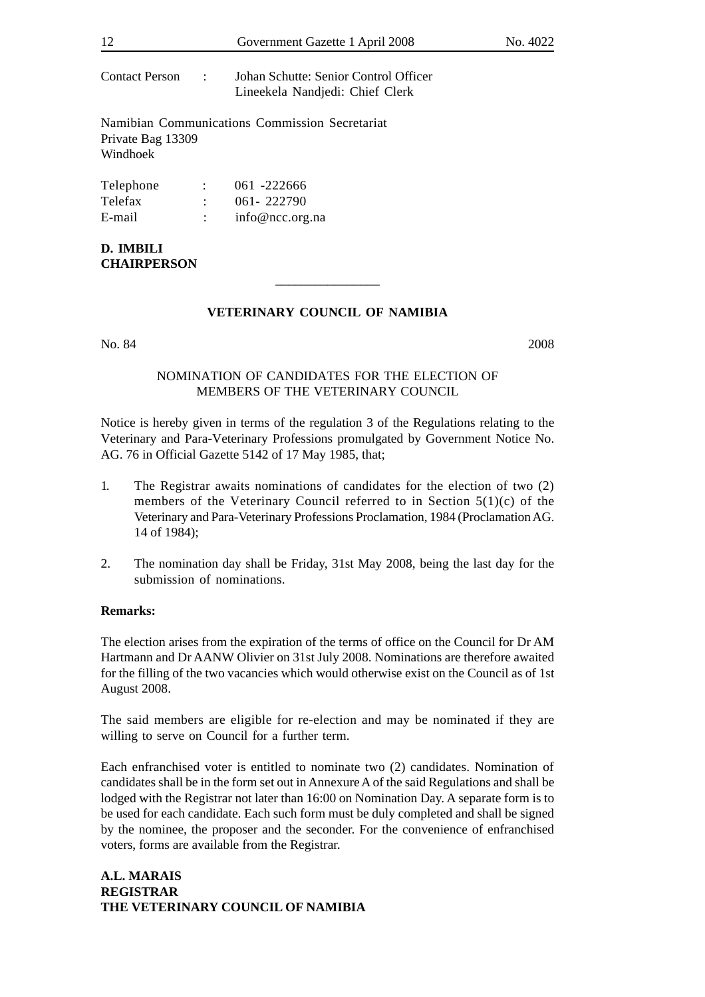| 12                              |                      | Government Gazette 1 April 2008                                          | No. 4022 |
|---------------------------------|----------------------|--------------------------------------------------------------------------|----------|
| Contact Person :                |                      | Johan Schutte: Senior Control Officer<br>Lineekela Nandjedi: Chief Clerk |          |
| Private Bag 13309<br>Windhoek   |                      | Namibian Communications Commission Secretariat                           |          |
| Telephone                       |                      | $\therefore$ 061 -222666                                                 |          |
| Telefax                         |                      | $\therefore$ 061-222790                                                  |          |
| E-mail                          | $\ddot{\phantom{a}}$ | info@ncc.org.na                                                          |          |
| D. IMBILI<br><b>CHAIRPERSON</b> |                      |                                                                          |          |
|                                 |                      |                                                                          |          |

#### **VETERINARY COUNCIL OF NAMIBIA**

No. 84 2008

#### NOMINATION OF CANDIDATES FOR THE ELECTION OF MEMBERS OF THE VETERINARY COUNCIL

Notice is hereby given in terms of the regulation 3 of the Regulations relating to the Veterinary and Para-Veterinary Professions promulgated by Government Notice No. AG. 76 in Official Gazette 5142 of 17 May 1985, that;

- 1. The Registrar awaits nominations of candidates for the election of two (2) members of the Veterinary Council referred to in Section 5(1)(c) of the Veterinary and Para-Veterinary Professions Proclamation, 1984 (Proclamation AG. 14 of 1984);
- 2. The nomination day shall be Friday, 31st May 2008, being the last day for the submission of nominations.

#### **Remarks:**

The election arises from the expiration of the terms of office on the Council for Dr AM Hartmann and Dr AANW Olivier on 31st July 2008. Nominations are therefore awaited for the filling of the two vacancies which would otherwise exist on the Council as of 1st August 2008.

The said members are eligible for re-election and may be nominated if they are willing to serve on Council for a further term.

Each enfranchised voter is entitled to nominate two (2) candidates. Nomination of candidates shall be in the form set out in Annexure A of the said Regulations and shall be lodged with the Registrar not later than 16:00 on Nomination Day. A separate form is to be used for each candidate. Each such form must be duly completed and shall be signed by the nominee, the proposer and the seconder. For the convenience of enfranchised voters, forms are available from the Registrar.

#### **A.L. MARAIS REGISTRAR THE VETERINARY COUNCIL OF NAMIBIA**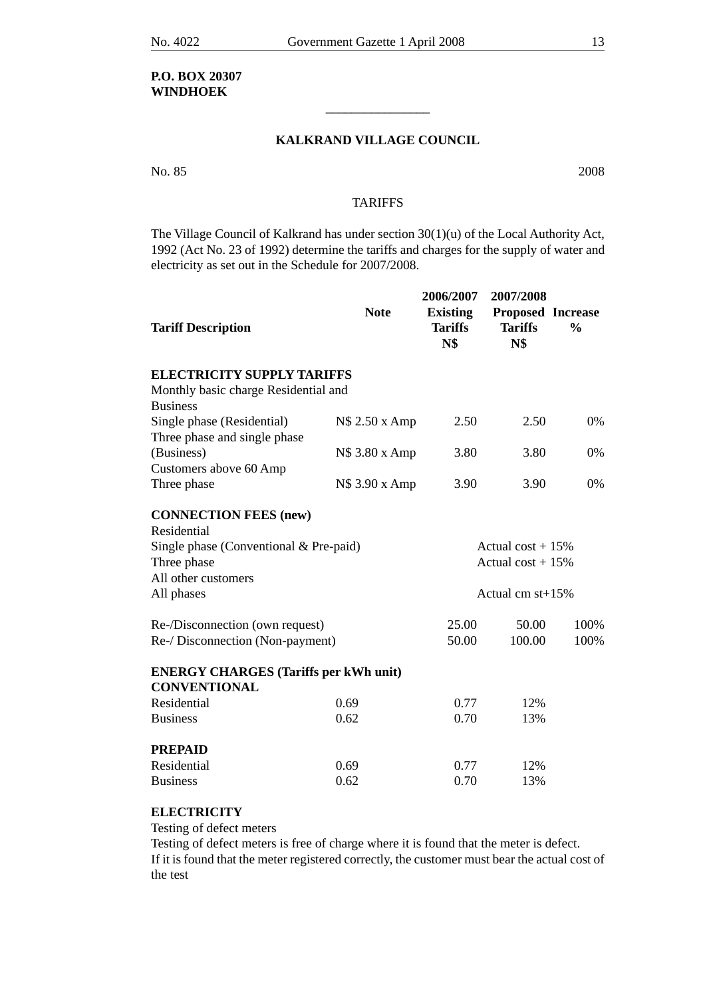### **P.O. BOX 20307 WINDHOEK**

#### **KALKRAND VILLAGE COUNCIL**

\_\_\_\_\_\_\_\_\_\_\_\_\_\_\_\_

No. 85 2008

#### **TARIFFS**

The Village Council of Kalkrand has under section 30(1)(u) of the Local Authority Act, 1992 (Act No. 23 of 1992) determine the tariffs and charges for the supply of water and electricity as set out in the Schedule for 2007/2008.

| <b>Tariff Description</b>                                           | <b>Note</b>    | 2006/2007<br><b>Existing</b><br><b>Tariffs</b><br><b>N\$</b> | 2007/2008<br>Proposed Increase<br><b>Tariffs</b><br><b>N\$</b> | $\frac{0}{0}$ |
|---------------------------------------------------------------------|----------------|--------------------------------------------------------------|----------------------------------------------------------------|---------------|
| <b>ELECTRICITY SUPPLY TARIFFS</b>                                   |                |                                                              |                                                                |               |
| Monthly basic charge Residential and<br><b>Business</b>             |                |                                                              |                                                                |               |
| Single phase (Residential)<br>Three phase and single phase          | N\$ 2.50 x Amp | 2.50                                                         | 2.50                                                           | 0%            |
| (Business)<br>Customers above 60 Amp                                | N\$ 3.80 x Amp | 3.80                                                         | 3.80                                                           | 0%            |
| Three phase                                                         | N\$ 3.90 x Amp | 3.90                                                         | 3.90                                                           | 0%            |
| <b>CONNECTION FEES (new)</b><br>Residential                         |                |                                                              |                                                                |               |
| Single phase (Conventional $&$ Pre-paid)<br>Three phase             |                |                                                              | Actual $cost + 15%$<br>Actual cost $+15%$                      |               |
| All other customers<br>All phases                                   |                |                                                              | Actual cm $st+15%$                                             |               |
| Re-/Disconnection (own request)                                     |                | 25.00                                                        | 50.00                                                          | 100%          |
| Re-/ Disconnection (Non-payment)                                    |                | 50.00                                                        | 100.00                                                         | 100%          |
| <b>ENERGY CHARGES</b> (Tariffs per kWh unit)<br><b>CONVENTIONAL</b> |                |                                                              |                                                                |               |
| Residential                                                         | 0.69           | 0.77                                                         | 12%                                                            |               |
| <b>Business</b>                                                     | 0.62           | 0.70                                                         | 13%                                                            |               |
| <b>PREPAID</b>                                                      |                |                                                              |                                                                |               |
| Residential                                                         | 0.69           | 0.77                                                         | 12%                                                            |               |
| <b>Business</b>                                                     | 0.62           | 0.70                                                         | 13%                                                            |               |

### **ELECTRICITY**

Testing of defect meters

Testing of defect meters is free of charge where it is found that the meter is defect. If it is found that the meter registered correctly, the customer must bear the actual cost of the test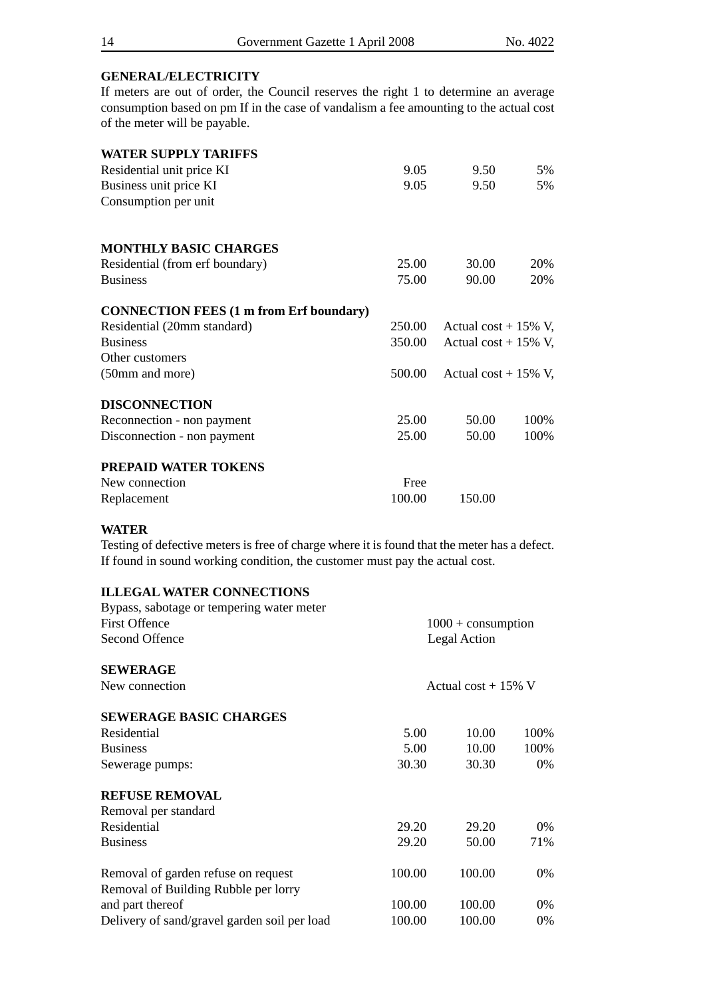#### **GENERAL/ELECTRICITY**

If meters are out of order, the Council reserves the right 1 to determine an average consumption based on pm If in the case of vandalism a fee amounting to the actual cost of the meter will be payable.

| <b>WATER SUPPLY TARIFFS</b>                    |        |                         |      |
|------------------------------------------------|--------|-------------------------|------|
| Residential unit price KI                      | 9.05   | 9.50                    | 5%   |
| Business unit price KI                         | 9.05   | 9.50                    | 5%   |
| Consumption per unit                           |        |                         |      |
| <b>MONTHLY BASIC CHARGES</b>                   |        |                         |      |
| Residential (from erf boundary)                | 25.00  | 30.00                   | 20%  |
| <b>Business</b>                                | 75.00  | 90.00                   | 20%  |
| <b>CONNECTION FEES (1 m from Erf boundary)</b> |        |                         |      |
| Residential (20mm standard)                    | 250.00 | Actual cost + $15\%$ V, |      |
| <b>Business</b>                                | 350.00 | Actual cost + $15\%$ V, |      |
| Other customers                                |        |                         |      |
| (50mm and more)                                | 500.00 | Actual cost + $15\%$ V, |      |
| <b>DISCONNECTION</b>                           |        |                         |      |
| Reconnection - non payment                     | 25.00  | 50.00                   | 100% |
| Disconnection - non payment                    | 25.00  | 50.00                   | 100% |
| PREPAID WATER TOKENS                           |        |                         |      |
| New connection                                 | Free   |                         |      |
| Replacement                                    | 100.00 | 150.00                  |      |

#### **WATER**

Testing of defective meters is free of charge where it is found that the meter has a defect. If found in sound working condition, the customer must pay the actual cost.

#### **ILLEGAL WATER CONNECTIONS**

| Bypass, sabotage or tempering water meter    |        |                        |       |
|----------------------------------------------|--------|------------------------|-------|
| <b>First Offence</b>                         |        | $1000 +$ consumption   |       |
| Second Offence                               |        | Legal Action           |       |
| <b>SEWERAGE</b>                              |        |                        |       |
| New connection                               |        | Actual cost + $15\%$ V |       |
| <b>SEWERAGE BASIC CHARGES</b>                |        |                        |       |
| Residential                                  | 5.00   | 10.00                  | 100%  |
| <b>Business</b>                              | 5.00   | 10.00                  | 100%  |
| Sewerage pumps:                              | 30.30  | 30.30                  | $0\%$ |
| <b>REFUSE REMOVAL</b>                        |        |                        |       |
| Removal per standard                         |        |                        |       |
| Residential                                  | 29.20  | 29.20                  | 0%    |
| <b>Business</b>                              | 29.20  | 50.00                  | 71%   |
| Removal of garden refuse on request          | 100.00 | 100.00                 | $0\%$ |
| Removal of Building Rubble per lorry         |        |                        |       |
| and part thereof                             | 100.00 | 100.00                 | 0%    |
| Delivery of sand/gravel garden soil per load | 100.00 | 100.00                 | $0\%$ |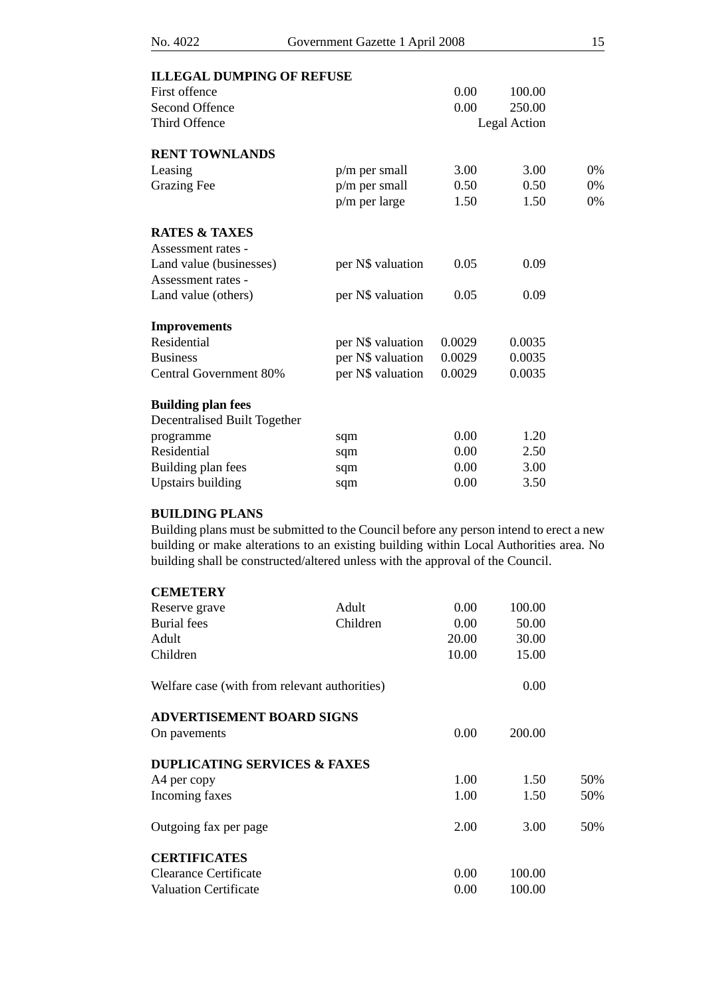| <b>ILLEGAL DUMPING OF REFUSE</b> |                          |        |              |
|----------------------------------|--------------------------|--------|--------------|
|                                  | 0.00                     | 100.00 |              |
|                                  | 0.00                     | 250.00 |              |
|                                  |                          |        |              |
|                                  |                          |        |              |
| $p/m$ per small                  | 3.00                     | 3.00   | 0%           |
| $p/m$ per small                  | 0.50                     | 0.50   | 0%           |
| p/m per large                    | 1.50                     | 1.50   | 0%           |
|                                  |                          |        |              |
|                                  |                          |        |              |
| per N\$ valuation                | 0.05                     | 0.09   |              |
|                                  |                          |        |              |
| per N\$ valuation                | 0.05                     | 0.09   |              |
|                                  |                          |        |              |
| per N\$ valuation                | 0.0029                   | 0.0035 |              |
|                                  | 0.0029                   | 0.0035 |              |
| per N\$ valuation                | 0.0029                   | 0.0035 |              |
|                                  |                          |        |              |
|                                  |                          |        |              |
|                                  | 0.00                     | 1.20   |              |
| sqm                              | 0.00                     | 2.50   |              |
| sqm                              | 0.00                     | 3.00   |              |
| sqm                              | 0.00                     | 3.50   |              |
|                                  | per N\$ valuation<br>sqm |        | Legal Action |

# **BUILDING PLANS**

Building plans must be submitted to the Council before any person intend to erect a new building or make alterations to an existing building within Local Authorities area. No building shall be constructed/altered unless with the approval of the Council.

| <b>CEMETERY</b>                               |          |       |        |     |
|-----------------------------------------------|----------|-------|--------|-----|
| Reserve grave                                 | Adult    | 0.00  | 100.00 |     |
| <b>Burial</b> fees                            | Children | 0.00  | 50.00  |     |
| Adult                                         |          | 20.00 | 30.00  |     |
| Children                                      |          | 10.00 | 15.00  |     |
| Welfare case (with from relevant authorities) |          |       | 0.00   |     |
| <b>ADVERTISEMENT BOARD SIGNS</b>              |          |       |        |     |
| On pavements                                  |          | 0.00  | 200.00 |     |
| <b>DUPLICATING SERVICES &amp; FAXES</b>       |          |       |        |     |
| A4 per copy                                   |          | 1.00  | 1.50   | 50% |
| Incoming faxes                                |          | 1.00  | 1.50   | 50% |
| Outgoing fax per page                         |          | 2.00  | 3.00   | 50% |
| <b>CERTIFICATES</b>                           |          |       |        |     |
| Clearance Certificate                         |          | 0.00  | 100.00 |     |
| <b>Valuation Certificate</b>                  |          | 0.00  | 100.00 |     |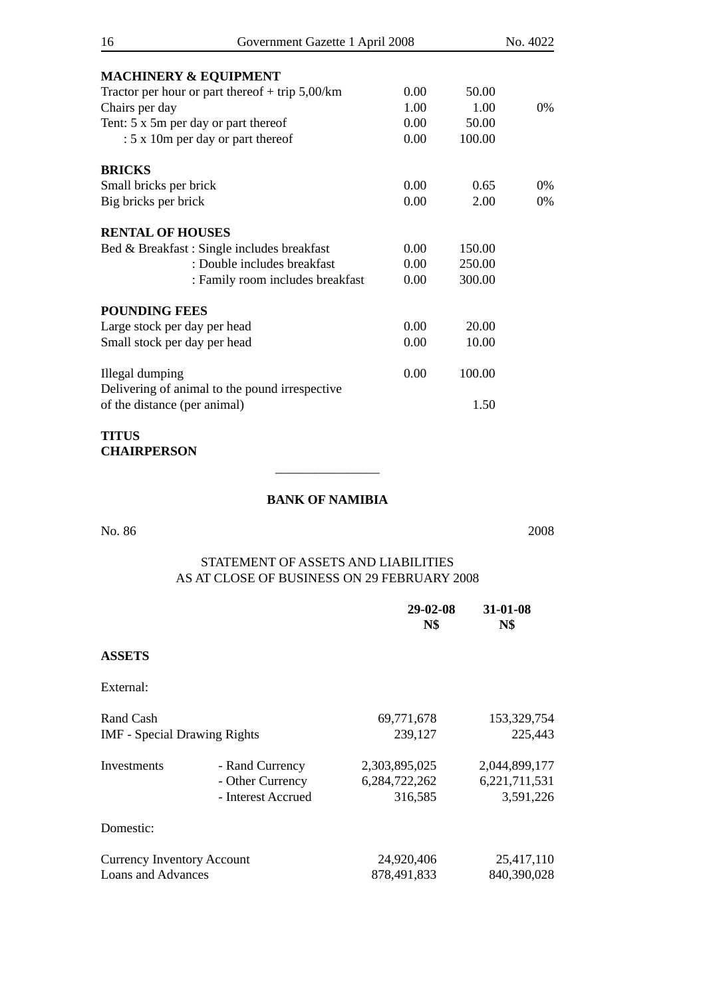| 16                           | Government Gazette 1 April 2008                   |      |        | No. 4022 |
|------------------------------|---------------------------------------------------|------|--------|----------|
|                              | <b>MACHINERY &amp; EQUIPMENT</b>                  |      |        |          |
|                              | Tractor per hour or part thereof $+$ trip 5,00/km | 0.00 | 50.00  |          |
| Chairs per day               |                                                   | 1.00 | 1.00   | 0%       |
|                              | Tent: 5 x 5m per day or part thereof              | 0.00 | 50.00  |          |
|                              | : 5 x 10m per day or part thereof                 | 0.00 | 100.00 |          |
| <b>BRICKS</b>                |                                                   |      |        |          |
| Small bricks per brick       |                                                   | 0.00 | 0.65   | $0\%$    |
| Big bricks per brick         |                                                   | 0.00 | 2.00   | $0\%$    |
| <b>RENTAL OF HOUSES</b>      |                                                   |      |        |          |
|                              | Bed & Breakfast: Single includes breakfast        | 0.00 | 150.00 |          |
|                              | : Double includes breakfast                       | 0.00 | 250.00 |          |
|                              | : Family room includes breakfast                  | 0.00 | 300.00 |          |
| <b>POUNDING FEES</b>         |                                                   |      |        |          |
| Large stock per day per head |                                                   | 0.00 | 20.00  |          |
| Small stock per day per head |                                                   | 0.00 | 10.00  |          |
| Illegal dumping              |                                                   | 0.00 | 100.00 |          |
| of the distance (per animal) | Delivering of animal to the pound irrespective    |      | 1.50   |          |
| TITUS                        |                                                   |      |        |          |

**CHAIRPERSON**

# **BANK OF NAMIBIA**

\_\_\_\_\_\_\_\_\_\_\_\_\_\_\_\_

No. 86 2008

# STATEMENT OF ASSETS AND LIABILITIES AS AT CLOSE OF BUSINESS ON 29 FEBRUARY 2008

|                                     |                    | $29 - 02 - 08$<br><b>N\$</b> | 31-01-08<br><b>N\$</b> |
|-------------------------------------|--------------------|------------------------------|------------------------|
| <b>ASSETS</b>                       |                    |                              |                        |
| External:                           |                    |                              |                        |
| Rand Cash                           |                    | 69,771,678                   | 153,329,754            |
| <b>IMF</b> - Special Drawing Rights |                    | 239,127                      | 225,443                |
| Investments                         | - Rand Currency    | 2,303,895,025                | 2,044,899,177          |
|                                     | - Other Currency   | 6,284,722,262                | 6,221,711,531          |
|                                     | - Interest Accrued | 316,585                      | 3,591,226              |
| Domestic:                           |                    |                              |                        |
| <b>Currency Inventory Account</b>   |                    | 24,920,406                   | 25,417,110             |
| Loans and Advances                  |                    | 878,491,833                  | 840,390,028            |